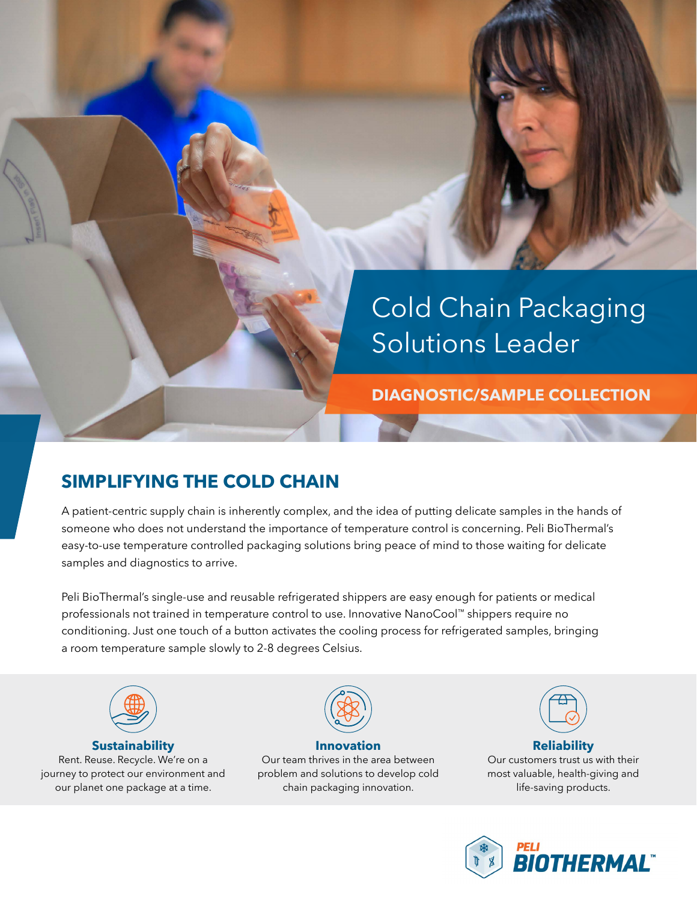

**DIAGNOSTIC/SAMPLE COLLECTION**

## **SIMPLIFYING THE COLD CHAIN**

A patient-centric supply chain is inherently complex, and the idea of putting delicate samples in the hands of someone who does not understand the importance of temperature control is concerning. Peli BioThermal's easy-to-use temperature controlled packaging solutions bring peace of mind to those waiting for delicate samples and diagnostics to arrive.

Peli BioThermal's single-use and reusable refrigerated shippers are easy enough for patients or medical professionals not trained in temperature control to use. Innovative NanoCool™ shippers require no conditioning. Just one touch of a button activates the cooling process for refrigerated samples, bringing a room temperature sample slowly to 2-8 degrees Celsius.



#### **Sustainability**

Rent. Reuse. Recycle. We're on a journey to protect our environment and our planet one package at a time.



**Innovation** Our team thrives in the area between problem and solutions to develop cold chain packaging innovation.



#### **Reliability** Our customers trust us with their most valuable, health-giving and life-saving products.